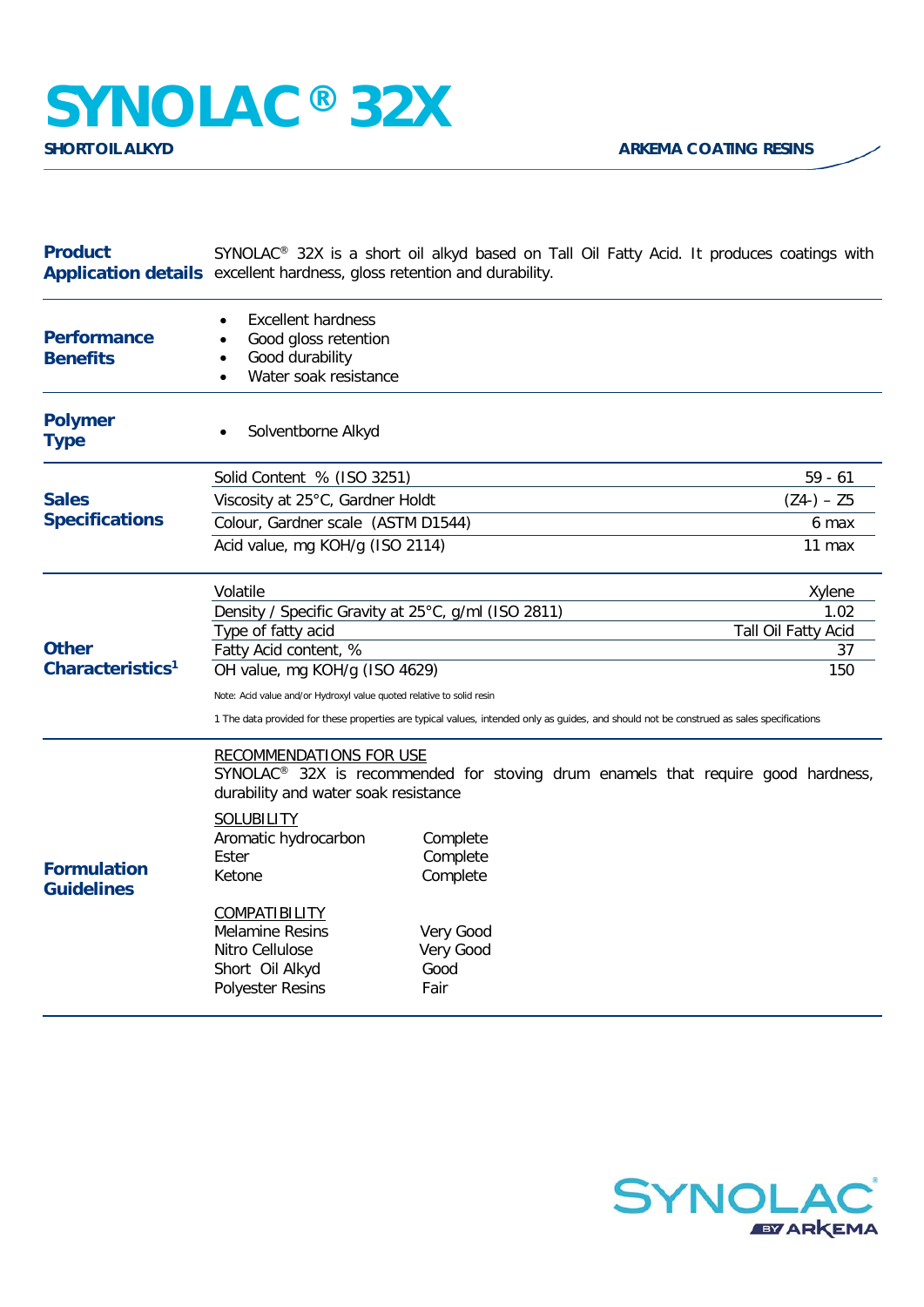## **SYNOLAC®** 32X

| <b>Product</b>                                        | SYNOLAC <sup>®</sup> 32X is a short oil alkyd based on Tall Oil Fatty Acid. It produces coatings with<br>Application details excellent hardness, gloss retention and durability.                                                                          |                                                                            |                                                                                              |  |
|-------------------------------------------------------|-----------------------------------------------------------------------------------------------------------------------------------------------------------------------------------------------------------------------------------------------------------|----------------------------------------------------------------------------|----------------------------------------------------------------------------------------------|--|
| <b>Performance</b><br><b>Benefits</b>                 | <b>Excellent hardness</b><br>Good gloss retention<br>Good durability<br>Water soak resistance<br>$\bullet$                                                                                                                                                |                                                                            |                                                                                              |  |
| <b>Polymer</b><br><b>Type</b>                         | Solventborne Alkyd                                                                                                                                                                                                                                        |                                                                            |                                                                                              |  |
|                                                       | Solid Content % (ISO 3251)                                                                                                                                                                                                                                |                                                                            | $59 - 61$                                                                                    |  |
| <b>Sales</b><br><b>Specifications</b><br><b>Other</b> | Viscosity at 25°C, Gardner Holdt                                                                                                                                                                                                                          |                                                                            | $(Z4-) - Z5$                                                                                 |  |
|                                                       | Colour, Gardner scale (ASTM D1544)                                                                                                                                                                                                                        |                                                                            | 6 max                                                                                        |  |
|                                                       | Acid value, mg KOH/g (ISO 2114)                                                                                                                                                                                                                           |                                                                            | 11 max                                                                                       |  |
|                                                       | Volatile                                                                                                                                                                                                                                                  |                                                                            | Xylene                                                                                       |  |
|                                                       | Density / Specific Gravity at 25°C, g/ml (ISO 2811)<br>1.02                                                                                                                                                                                               |                                                                            |                                                                                              |  |
|                                                       | Type of fatty acid                                                                                                                                                                                                                                        |                                                                            | Tall Oil Fatty Acid                                                                          |  |
| Characteristics <sup>1</sup>                          | Fatty Acid content, %<br>OH value, mg KOH/g (ISO 4629)                                                                                                                                                                                                    |                                                                            | 37<br>150                                                                                    |  |
|                                                       |                                                                                                                                                                                                                                                           |                                                                            |                                                                                              |  |
|                                                       | Note: Acid value and/or Hydroxyl value quoted relative to solid resin<br>1 The data provided for these properties are typical values, intended only as guides, and should not be construed as sales specifications                                        |                                                                            |                                                                                              |  |
| <b>Formulation</b><br><b>Guidelines</b>               | <b>RECOMMENDATIONS FOR USE</b><br>durability and water soak resistance<br><b>SOLUBILITY</b><br>Aromatic hydrocarbon<br>Ester<br>Ketone<br><b>COMPATIBILITY</b><br><b>Melamine Resins</b><br>Nitro Cellulose<br>Short Oil Alkyd<br><b>Polyester Resins</b> | Complete<br>Complete<br>Complete<br>Very Good<br>Very Good<br>Good<br>Fair | SYNOLAC <sup>®</sup> 32X is recommended for stoving drum enamels that require good hardness, |  |